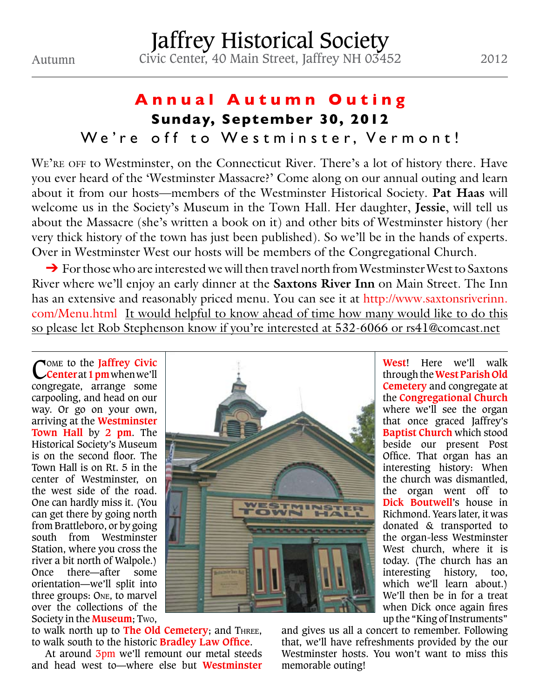## **Annual Autumn Outing Sunday, September 30, 2012** We're off to Westminster, Vermont!

WE'RE OFF to Westminster, on the Connecticut River. There's a lot of history there. Have you ever heard of the 'Westminster Massacre?' Come along on our annual outing and learn about it from our hosts—members of the Westminster Historical Society. **Pat Haas** will welcome us in the Society's Museum in the Town Hall. Her daughter, **Jessie**, will tell us about the Massacre (she's written a book on it) and other bits of Westminster history (her very thick history of the town has just been published). So we'll be in the hands of experts. Over in Westminster West our hosts will be members of the Congregational Church.

➔ For those who are interested we will then travel north from Westminster West to Saxtons River where we'll enjoy an early dinner at the **Saxtons River Inn** on Main Street. The Inn has an extensive and reasonably priced menu. You can see it at http://www.saxtonsriverinn. com/Menu.html It would helpful to know ahead of time how many would like to do this so please let Rob Stephenson know if you're interested at 532-6066 or rs41@comcast.net

Come to the **Jaffrey Civic Center** at **1 pm**when we'll congregate, arrange some carpooling, and head on our way. Or go on your own, arriving at the **Westminster Town Hall** by **2 pm**. The Historical Society's Museum is on the second floor. The Town Hall is on Rt. 5 in the center of Westminster, on the west side of the road. One can hardly miss it. (You can get there by going north from Brattleboro, or by going south from Westminster Station, where you cross the river a bit north of Walpole.) Once there—after some orientation—we'll split into three groups: One, to marvel over the collections of the Society in the **Museum**; Two,



to walk north up to **The Old Cemetery**; and Three, to walk south to the historic **Bradley Law Office**.

At around 3pm we'll remount our metal steeds and head west to—where else but **Westminster** 

**West**! Here we'll walk through the **West Parish Old Cemetery** and congregate at the **Congregational Church** where we'll see the organ that once graced Jaffrey's **Baptist Church** which stood beside our present Post Office. That organ has an interesting history: When the church was dismantled, the organ went off to **Dick Boutwell**'s house in Richmond. Years later, it was donated & transported to the organ-less Westminster West church, where it is today. (The church has an interesting history, too, which we'll learn about.) We'll then be in for a treat when Dick once again fires up the "King of Instruments"

and gives us all a concert to remember. Following that, we'll have refreshments provided by the our Westminster hosts. You won't want to miss this memorable outing!